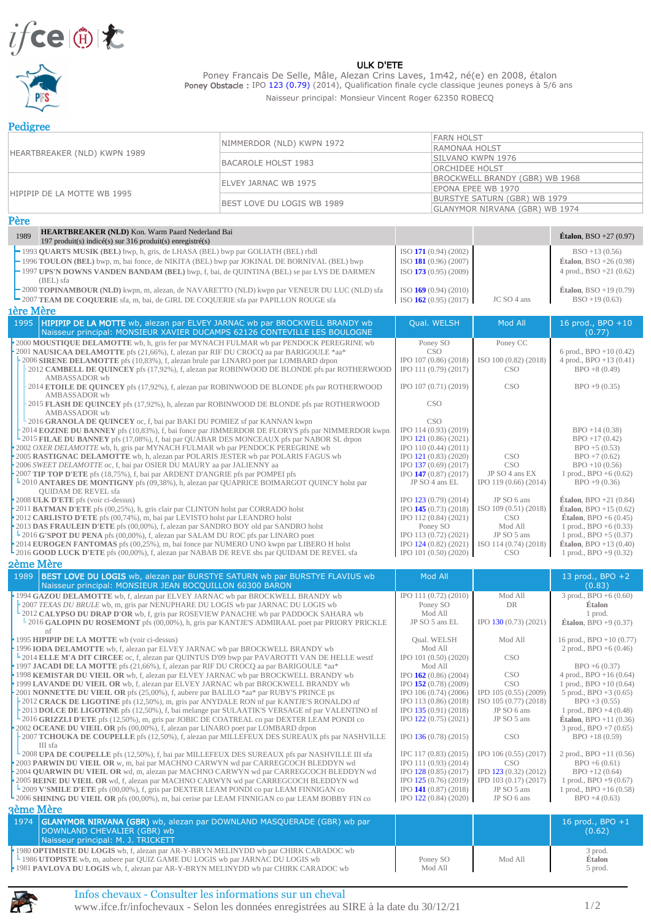

## ULK D'ETE

Poney Francais De Selle, Mâle, Alezan Crins Laves, 1m42, né(e) en 2008, étalon Poney Obstacle : IPO 123 (0.79) (2014), Qualification finale cycle classique jeunes poneys à 5/6 ans Naisseur principal: Monsieur Vincent Roger 62350 ROBECQ

**Pedigree** 

| <b>RAMONAA HOLST</b><br>HEARTBREAKER (NLD) KWPN 1989<br>SILVANO KWPN 1976<br><b>BACAROLE HOLST 1983</b><br><b>ORCHIDEE HOLST</b><br>BROCKWELL BRANDY (GBR) WB 1968<br>ELVEY JARNAC WB 1975<br>EPONA EPEE WB 1970<br>HIPIPIP DE LA MOTTE WB 1995<br><b>BURSTYE SATURN (GBR) WB 1979</b><br>BEST LOVE DU LOGIS WB 1989<br><b>GLANYMOR NIRVANA (GBR) WB 1974</b><br>Père<br>HEARTBREAKER (NLD) Kon. Warm Paard Nederland Bai<br>1989<br><b>Étalon</b> , BSO +27 $(0.97)$<br>197 produit(s) indicé(s) sur 316 produit(s) enregistré(s)<br>-1993 QUARTS MUSIK (BEL) bwp, h, gris, de LHASA (BEL) bwp par GOLIATH (BEL) rhdl<br>ISO 171 (0.94) (2002)<br>$BSO + 13(0.56)$<br>-1996 TOULON (BEL) bwp, m, bai fonce, de NIKITA (BEL) bwp par JOKINAL DE BORNIVAL (BEL) bwp<br><b>Étalon</b> , BSO +26 $(0.98)$<br>ISO 181 (0.96) (2007)<br>-1997 UPS'N DOWNS VANDEN BANDAM (BEL) bwp, f, bai, de QUINTINA (BEL) se par LYS DE DARMEN<br>ISO 173 (0.95) (2009)<br>4 prod., $BSO + 21(0.62)$<br>(BEL) sfa<br><b>Étalon</b> , BSO +19 $(0.79)$<br>-2000 TOPINAMBOUR (NLD) kwpn, m, alezan, de NAVARETTO (NLD) kwpn par VENEUR DU LUC (NLD) sfa<br>$ISO$ 169 (0.94) (2010)<br>$BSO + 19(0.63)$<br>■ 2007 TEAM DE COQUERIE sfa, m, bai, de GIRL DE COQUERIE sfa par PAPILLON ROUGE sfa<br>ISO $162(0.95)(2017)$<br>JC SO 4 ans<br><b>1ère Mère</b><br>1995<br>HIPIPIP DE LA MOTTE wb, alezan par ELVEY JARNAC wb par BROCKWELL BRANDY wb<br>Qual. WELSH<br>Mod All<br>16 prod., BPO +10<br>Naisseur principal: MONSIEUR XAVIER DUCAMPS 62126 CONTEVILLE LES BOULOGNE<br>(0.77)<br>2000 MOUSTIQUE DELAMOTTE wb, h, gris fer par MYNACH FULMAR wb par PENDOCK PEREGRINE wb<br>Poney SO<br>Poney CC<br>2001 NAUSICAA DELAMOTTE pfs (21,66%), f, alezan par RIF DU CROCO aa par BARIGOULE *aa*<br>CSO<br>6 prod., $BPO + 10(0.42)$<br>ISO 100 (0.82) (2018)<br>2006 SIRENE DELAMOTTE pfs (10,83%), f, alezan brule par LINARO poet par LOMBARD drpon<br>IPO 107 (0.86) (2018)<br>4 prod., $BPO + 13(0.41)$<br>2012 CAMBELL DE OUINCEY pfs (17.92%), f, alezan par ROBINWOOD DE BLONDE pfs par ROTHERWOOD<br>IPO 111 (0.79) (2017)<br>$BPO + 8(0.49)$<br>CSO <sup>.</sup><br>AMBASSADOR wb<br>IPO 107 (0.71) (2019)<br><b>CSO</b><br>$BPO + 9(0.35)$<br>2014 ETOILE DE OUINCEY pfs (17,92%), f, alezan par ROBINWOOD DE BLONDE pfs par ROTHERWOOD<br>AMBASSADOR wb |                                                                       | NIMMERDOR (NLD) KWPN 1972 | <b>FARN HOLST</b>                              |                              |                                              |  |
|--------------------------------------------------------------------------------------------------------------------------------------------------------------------------------------------------------------------------------------------------------------------------------------------------------------------------------------------------------------------------------------------------------------------------------------------------------------------------------------------------------------------------------------------------------------------------------------------------------------------------------------------------------------------------------------------------------------------------------------------------------------------------------------------------------------------------------------------------------------------------------------------------------------------------------------------------------------------------------------------------------------------------------------------------------------------------------------------------------------------------------------------------------------------------------------------------------------------------------------------------------------------------------------------------------------------------------------------------------------------------------------------------------------------------------------------------------------------------------------------------------------------------------------------------------------------------------------------------------------------------------------------------------------------------------------------------------------------------------------------------------------------------------------------------------------------------------------------------------------------------------------------------------------------------------------------------------------------------------------------------------------------------------------------------------------------------------------------------------------------------------------------------------------------------------------------------------------------------------------------------------------------------------------------------------------------------------------------------|-----------------------------------------------------------------------|---------------------------|------------------------------------------------|------------------------------|----------------------------------------------|--|
|                                                                                                                                                                                                                                                                                                                                                                                                                                                                                                                                                                                                                                                                                                                                                                                                                                                                                                                                                                                                                                                                                                                                                                                                                                                                                                                                                                                                                                                                                                                                                                                                                                                                                                                                                                                                                                                                                                                                                                                                                                                                                                                                                                                                                                                                                                                                                  |                                                                       |                           |                                                |                              |                                              |  |
|                                                                                                                                                                                                                                                                                                                                                                                                                                                                                                                                                                                                                                                                                                                                                                                                                                                                                                                                                                                                                                                                                                                                                                                                                                                                                                                                                                                                                                                                                                                                                                                                                                                                                                                                                                                                                                                                                                                                                                                                                                                                                                                                                                                                                                                                                                                                                  |                                                                       |                           |                                                |                              |                                              |  |
|                                                                                                                                                                                                                                                                                                                                                                                                                                                                                                                                                                                                                                                                                                                                                                                                                                                                                                                                                                                                                                                                                                                                                                                                                                                                                                                                                                                                                                                                                                                                                                                                                                                                                                                                                                                                                                                                                                                                                                                                                                                                                                                                                                                                                                                                                                                                                  |                                                                       |                           |                                                |                              |                                              |  |
|                                                                                                                                                                                                                                                                                                                                                                                                                                                                                                                                                                                                                                                                                                                                                                                                                                                                                                                                                                                                                                                                                                                                                                                                                                                                                                                                                                                                                                                                                                                                                                                                                                                                                                                                                                                                                                                                                                                                                                                                                                                                                                                                                                                                                                                                                                                                                  |                                                                       |                           |                                                |                              |                                              |  |
|                                                                                                                                                                                                                                                                                                                                                                                                                                                                                                                                                                                                                                                                                                                                                                                                                                                                                                                                                                                                                                                                                                                                                                                                                                                                                                                                                                                                                                                                                                                                                                                                                                                                                                                                                                                                                                                                                                                                                                                                                                                                                                                                                                                                                                                                                                                                                  |                                                                       |                           |                                                |                              |                                              |  |
|                                                                                                                                                                                                                                                                                                                                                                                                                                                                                                                                                                                                                                                                                                                                                                                                                                                                                                                                                                                                                                                                                                                                                                                                                                                                                                                                                                                                                                                                                                                                                                                                                                                                                                                                                                                                                                                                                                                                                                                                                                                                                                                                                                                                                                                                                                                                                  |                                                                       |                           |                                                |                              |                                              |  |
|                                                                                                                                                                                                                                                                                                                                                                                                                                                                                                                                                                                                                                                                                                                                                                                                                                                                                                                                                                                                                                                                                                                                                                                                                                                                                                                                                                                                                                                                                                                                                                                                                                                                                                                                                                                                                                                                                                                                                                                                                                                                                                                                                                                                                                                                                                                                                  |                                                                       |                           |                                                |                              |                                              |  |
|                                                                                                                                                                                                                                                                                                                                                                                                                                                                                                                                                                                                                                                                                                                                                                                                                                                                                                                                                                                                                                                                                                                                                                                                                                                                                                                                                                                                                                                                                                                                                                                                                                                                                                                                                                                                                                                                                                                                                                                                                                                                                                                                                                                                                                                                                                                                                  |                                                                       |                           |                                                |                              |                                              |  |
|                                                                                                                                                                                                                                                                                                                                                                                                                                                                                                                                                                                                                                                                                                                                                                                                                                                                                                                                                                                                                                                                                                                                                                                                                                                                                                                                                                                                                                                                                                                                                                                                                                                                                                                                                                                                                                                                                                                                                                                                                                                                                                                                                                                                                                                                                                                                                  |                                                                       |                           |                                                |                              |                                              |  |
|                                                                                                                                                                                                                                                                                                                                                                                                                                                                                                                                                                                                                                                                                                                                                                                                                                                                                                                                                                                                                                                                                                                                                                                                                                                                                                                                                                                                                                                                                                                                                                                                                                                                                                                                                                                                                                                                                                                                                                                                                                                                                                                                                                                                                                                                                                                                                  |                                                                       |                           |                                                |                              |                                              |  |
|                                                                                                                                                                                                                                                                                                                                                                                                                                                                                                                                                                                                                                                                                                                                                                                                                                                                                                                                                                                                                                                                                                                                                                                                                                                                                                                                                                                                                                                                                                                                                                                                                                                                                                                                                                                                                                                                                                                                                                                                                                                                                                                                                                                                                                                                                                                                                  |                                                                       |                           |                                                |                              |                                              |  |
|                                                                                                                                                                                                                                                                                                                                                                                                                                                                                                                                                                                                                                                                                                                                                                                                                                                                                                                                                                                                                                                                                                                                                                                                                                                                                                                                                                                                                                                                                                                                                                                                                                                                                                                                                                                                                                                                                                                                                                                                                                                                                                                                                                                                                                                                                                                                                  |                                                                       |                           |                                                |                              |                                              |  |
|                                                                                                                                                                                                                                                                                                                                                                                                                                                                                                                                                                                                                                                                                                                                                                                                                                                                                                                                                                                                                                                                                                                                                                                                                                                                                                                                                                                                                                                                                                                                                                                                                                                                                                                                                                                                                                                                                                                                                                                                                                                                                                                                                                                                                                                                                                                                                  |                                                                       |                           |                                                |                              |                                              |  |
|                                                                                                                                                                                                                                                                                                                                                                                                                                                                                                                                                                                                                                                                                                                                                                                                                                                                                                                                                                                                                                                                                                                                                                                                                                                                                                                                                                                                                                                                                                                                                                                                                                                                                                                                                                                                                                                                                                                                                                                                                                                                                                                                                                                                                                                                                                                                                  |                                                                       |                           |                                                |                              |                                              |  |
|                                                                                                                                                                                                                                                                                                                                                                                                                                                                                                                                                                                                                                                                                                                                                                                                                                                                                                                                                                                                                                                                                                                                                                                                                                                                                                                                                                                                                                                                                                                                                                                                                                                                                                                                                                                                                                                                                                                                                                                                                                                                                                                                                                                                                                                                                                                                                  |                                                                       |                           |                                                |                              |                                              |  |
|                                                                                                                                                                                                                                                                                                                                                                                                                                                                                                                                                                                                                                                                                                                                                                                                                                                                                                                                                                                                                                                                                                                                                                                                                                                                                                                                                                                                                                                                                                                                                                                                                                                                                                                                                                                                                                                                                                                                                                                                                                                                                                                                                                                                                                                                                                                                                  |                                                                       |                           |                                                |                              |                                              |  |
|                                                                                                                                                                                                                                                                                                                                                                                                                                                                                                                                                                                                                                                                                                                                                                                                                                                                                                                                                                                                                                                                                                                                                                                                                                                                                                                                                                                                                                                                                                                                                                                                                                                                                                                                                                                                                                                                                                                                                                                                                                                                                                                                                                                                                                                                                                                                                  |                                                                       |                           |                                                |                              |                                              |  |
|                                                                                                                                                                                                                                                                                                                                                                                                                                                                                                                                                                                                                                                                                                                                                                                                                                                                                                                                                                                                                                                                                                                                                                                                                                                                                                                                                                                                                                                                                                                                                                                                                                                                                                                                                                                                                                                                                                                                                                                                                                                                                                                                                                                                                                                                                                                                                  |                                                                       |                           |                                                |                              |                                              |  |
|                                                                                                                                                                                                                                                                                                                                                                                                                                                                                                                                                                                                                                                                                                                                                                                                                                                                                                                                                                                                                                                                                                                                                                                                                                                                                                                                                                                                                                                                                                                                                                                                                                                                                                                                                                                                                                                                                                                                                                                                                                                                                                                                                                                                                                                                                                                                                  |                                                                       |                           |                                                |                              |                                              |  |
|                                                                                                                                                                                                                                                                                                                                                                                                                                                                                                                                                                                                                                                                                                                                                                                                                                                                                                                                                                                                                                                                                                                                                                                                                                                                                                                                                                                                                                                                                                                                                                                                                                                                                                                                                                                                                                                                                                                                                                                                                                                                                                                                                                                                                                                                                                                                                  |                                                                       |                           |                                                |                              |                                              |  |
|                                                                                                                                                                                                                                                                                                                                                                                                                                                                                                                                                                                                                                                                                                                                                                                                                                                                                                                                                                                                                                                                                                                                                                                                                                                                                                                                                                                                                                                                                                                                                                                                                                                                                                                                                                                                                                                                                                                                                                                                                                                                                                                                                                                                                                                                                                                                                  |                                                                       |                           |                                                |                              |                                              |  |
|                                                                                                                                                                                                                                                                                                                                                                                                                                                                                                                                                                                                                                                                                                                                                                                                                                                                                                                                                                                                                                                                                                                                                                                                                                                                                                                                                                                                                                                                                                                                                                                                                                                                                                                                                                                                                                                                                                                                                                                                                                                                                                                                                                                                                                                                                                                                                  |                                                                       |                           |                                                |                              |                                              |  |
|                                                                                                                                                                                                                                                                                                                                                                                                                                                                                                                                                                                                                                                                                                                                                                                                                                                                                                                                                                                                                                                                                                                                                                                                                                                                                                                                                                                                                                                                                                                                                                                                                                                                                                                                                                                                                                                                                                                                                                                                                                                                                                                                                                                                                                                                                                                                                  |                                                                       |                           |                                                |                              |                                              |  |
|                                                                                                                                                                                                                                                                                                                                                                                                                                                                                                                                                                                                                                                                                                                                                                                                                                                                                                                                                                                                                                                                                                                                                                                                                                                                                                                                                                                                                                                                                                                                                                                                                                                                                                                                                                                                                                                                                                                                                                                                                                                                                                                                                                                                                                                                                                                                                  |                                                                       |                           |                                                |                              |                                              |  |
|                                                                                                                                                                                                                                                                                                                                                                                                                                                                                                                                                                                                                                                                                                                                                                                                                                                                                                                                                                                                                                                                                                                                                                                                                                                                                                                                                                                                                                                                                                                                                                                                                                                                                                                                                                                                                                                                                                                                                                                                                                                                                                                                                                                                                                                                                                                                                  |                                                                       |                           |                                                |                              |                                              |  |
| 2015 FLASH DE QUINCEY pfs (17,92%), h, alezan par ROBINWOOD DE BLONDE pfs par ROTHERWOOD                                                                                                                                                                                                                                                                                                                                                                                                                                                                                                                                                                                                                                                                                                                                                                                                                                                                                                                                                                                                                                                                                                                                                                                                                                                                                                                                                                                                                                                                                                                                                                                                                                                                                                                                                                                                                                                                                                                                                                                                                                                                                                                                                                                                                                                         |                                                                       |                           |                                                |                              |                                              |  |
|                                                                                                                                                                                                                                                                                                                                                                                                                                                                                                                                                                                                                                                                                                                                                                                                                                                                                                                                                                                                                                                                                                                                                                                                                                                                                                                                                                                                                                                                                                                                                                                                                                                                                                                                                                                                                                                                                                                                                                                                                                                                                                                                                                                                                                                                                                                                                  |                                                                       |                           |                                                |                              |                                              |  |
| <b>CSO</b><br>$\pm$ 2016 GRANOLA DE QUINCEY oc, f, bai par BAKI DU POMIEZ sf par KANNAN kwpn                                                                                                                                                                                                                                                                                                                                                                                                                                                                                                                                                                                                                                                                                                                                                                                                                                                                                                                                                                                                                                                                                                                                                                                                                                                                                                                                                                                                                                                                                                                                                                                                                                                                                                                                                                                                                                                                                                                                                                                                                                                                                                                                                                                                                                                     |                                                                       |                           | CSO                                            |                              |                                              |  |
| 2014 EOZINE DU BANNEY pfs (10,83%), f, bai fonce par JIMMERDOR DE FLORYS pfs par NIMMERDOR kwpn<br>IPO 114 (0.93) (2019)<br>$BPO + 14(0.38)$                                                                                                                                                                                                                                                                                                                                                                                                                                                                                                                                                                                                                                                                                                                                                                                                                                                                                                                                                                                                                                                                                                                                                                                                                                                                                                                                                                                                                                                                                                                                                                                                                                                                                                                                                                                                                                                                                                                                                                                                                                                                                                                                                                                                     | AMBASSADOR wb                                                         |                           |                                                |                              |                                              |  |
| <b>1</b> 2015 FILAE DU BANNEY pfs (17,08%), f, bai par QUABAR DES MONCEAUX pfs par NABOR SL drpon                                                                                                                                                                                                                                                                                                                                                                                                                                                                                                                                                                                                                                                                                                                                                                                                                                                                                                                                                                                                                                                                                                                                                                                                                                                                                                                                                                                                                                                                                                                                                                                                                                                                                                                                                                                                                                                                                                                                                                                                                                                                                                                                                                                                                                                |                                                                       |                           |                                                |                              |                                              |  |
| 2002 OXER DELAMOTTE wb, h, gris par MYNACH FULMAR wb par PENDOCK PEREGRINE wb                                                                                                                                                                                                                                                                                                                                                                                                                                                                                                                                                                                                                                                                                                                                                                                                                                                                                                                                                                                                                                                                                                                                                                                                                                                                                                                                                                                                                                                                                                                                                                                                                                                                                                                                                                                                                                                                                                                                                                                                                                                                                                                                                                                                                                                                    |                                                                       |                           | IPO 121 (0.86) (2021)                          |                              | $BPO + 17(0.42)$                             |  |
| 2005 RASTIGNAC DELAMOTTE wb, h, alezan par POLARIS JESTER wb par POLARIS FAGUS wb                                                                                                                                                                                                                                                                                                                                                                                                                                                                                                                                                                                                                                                                                                                                                                                                                                                                                                                                                                                                                                                                                                                                                                                                                                                                                                                                                                                                                                                                                                                                                                                                                                                                                                                                                                                                                                                                                                                                                                                                                                                                                                                                                                                                                                                                |                                                                       |                           | IPO 110 (0.44) (2011)                          |                              | $BPO + 5(0.53)$                              |  |
| 2007 TIP TOP D'ETE pfs (18,75%), f, bai par ARDENT D'ANGRIE pfs par POMPEI pfs                                                                                                                                                                                                                                                                                                                                                                                                                                                                                                                                                                                                                                                                                                                                                                                                                                                                                                                                                                                                                                                                                                                                                                                                                                                                                                                                                                                                                                                                                                                                                                                                                                                                                                                                                                                                                                                                                                                                                                                                                                                                                                                                                                                                                                                                   |                                                                       |                           | IPO 121 (0.83) (2020)                          | <b>CSO</b>                   | $BPO + 7(0.62)$                              |  |
| <b>-2010 ANTARES DE MONTIGNY</b> pfs (09,38%), h, alezan par QUAPRICE BOIMARGOT QUINCY holst par<br>JP SO 4 ans EL<br>$BPO + 9(0.36)$<br>IPO 119 (0.66) (2014)                                                                                                                                                                                                                                                                                                                                                                                                                                                                                                                                                                                                                                                                                                                                                                                                                                                                                                                                                                                                                                                                                                                                                                                                                                                                                                                                                                                                                                                                                                                                                                                                                                                                                                                                                                                                                                                                                                                                                                                                                                                                                                                                                                                   | 2006 SWEET DELAMOTTE oc, f, bai par OSIER DU MAURY aa par JALIENNY aa |                           | IPO 137 (0.69) (2017)<br>IPO 147 (0.87) (2017) | <b>CSO</b><br>JP SO 4 ans EX | $BPO + 10(0.56)$<br>1 prod., $BPO + 6(0.62)$ |  |

| <b>-2010 ANTARES DE MONTIGNY</b> pfs (09,38%), h, alezan par QUAPRICE BOIMARGOT QUINCY holst par   | JP SO 4 ans EL                                | IPO 119 (0.66) (2014) | $BPO + 9(0.36)$                 |
|----------------------------------------------------------------------------------------------------|-----------------------------------------------|-----------------------|---------------------------------|
| OUIDAM DE REVEL sfa                                                                                |                                               |                       |                                 |
| $\cdot$ 2008 ULK D'ETE pfs (voir ci-dessus)                                                        | IPO $123(0.79)(2014)$                         | JP SO 6 ans           | <b>Étalon.</b> BPO $+21$ (0.84) |
| • 2011 <b>BATMAN D'ETE</b> pfs (00,25%), h, gris clair par CLINTON holst par CORRADO holst         | IPO $145(0.73)(2018)$                         | ISO 109 (0.51) (2018) | <b>Etalon.</b> BPO +15 $(0.62)$ |
| 2012 CARLISTO D'ETE pfs (00,74%), m, bai par LEVISTO holst par LEANDRO holst                       | IPO 112 (0.84) (2021)                         | CSO.                  | <b>Etalon.</b> BPO $+6(0.45)$   |
| • 2013 DAS FRAULEIN D'ETE pfs (00,00%), f, alezan par SANDRO BOY old par SANDRO holst              | Poney SO                                      | Mod All               | 1 prod., $BPO + 6(0.33)$        |
| $\pm$ 2016 G'SPOT DU PENA pfs (00,00%), f, alezan par SALAM DU ROC pfs par LINARO poet             | IPO 113 (0.72) (2021)                         | JP SO 5 ans           | 1 prod., $BPO + 5(0.37)$        |
| 2014 EUROGEN FANTOMAS pfs (00,25%), m, bai fonce par NUMERO UNO kwpn par LIBERO H holst            | $IPO$ 124 (0.82) (2021) ISO 114 (0.74) (2018) |                       | <b>Étalon.</b> BPO +13 $(0.40)$ |
| <b>-2016 GOOD LUCK D'ETE</b> pfs (00,00%), f, alezan par NABAB DE REVE sbs par QUIDAM DE REVEL sfa | $ $ IPO 101 (0.50) (2020)                     | CSO <sub>.</sub>      | 1 prod., $BPO + 9(0.32)$        |
|                                                                                                    |                                               |                       |                                 |

| 2ème Mère                                                                                                                                                                                                                                                                                                                                                                                                                 |                                                                               |                                                          |                                                                                                                        |
|---------------------------------------------------------------------------------------------------------------------------------------------------------------------------------------------------------------------------------------------------------------------------------------------------------------------------------------------------------------------------------------------------------------------------|-------------------------------------------------------------------------------|----------------------------------------------------------|------------------------------------------------------------------------------------------------------------------------|
| <b>BEST LOVE DU LOGIS</b> wb, alezan par BURSTYE SATURN wb par BURSTYE FLAVIUS wb<br>1989<br>Naisseur principal: MONSIEUR JEAN BOCOUILLON 60300 BARON                                                                                                                                                                                                                                                                     | <b>Mod All</b>                                                                |                                                          | 13 prod., BPO +2<br>(0.83)                                                                                             |
| 1994 GAZOU DELAMOTTE wb, f, alezan par ELVEY JARNAC wb par BROCKWELL BRANDY wb<br>-2007 TEXAS DU BRULE wb, m, gris par NENUPHARE DU LOGIS wb par JARNAC DU LOGIS wb<br><b>-2012 CALYPSO DU DRAP D'OR</b> wb, f, gris par ROSEVIEW PANACHE wb par PADDOCK SAHARA wb<br>2016 GALOPIN DU ROSEMONT pfs (00,00%), h, gris par KANTJE'S ADMIRAAL poet par PRIORY PRICKLE<br>1995 <b>HIPIPIP DE LA MOTTE</b> wb (voir ci-dessus) | IPO 111 (0.72) (2010)<br>Poney SO<br>Mod All<br>JP SO 5 ans EL<br>Oual. WELSH | Mod All<br><b>DR</b><br>IPO 130 (0.73) (2021)<br>Mod All | $3 \text{ prod.}$ , BPO +6 (0.60)<br>Étalon<br>1 prod.<br><b>Étalon</b> , BPO $+9(0.37)$<br>16 prod., $BPO + 10(0.77)$ |
| 1996 IODA DELAMOTTE wb, f, alezan par ELVEY JARNAC wb par BROCKWELL BRANDY wb<br><sup>1</sup> 2014 ELLE M'A DIT CIRCEE oc, f, alezan par QUINTUS D'09 bwp par PAVAROTTI VAN DE HELLE westf<br>1997 JACADI DE LA MOTTE pfs (21,66%), f, alezan par RIF DU CROCQ aa par BARIGOULE *aa*                                                                                                                                      | Mod All<br>IPO 101 (0.50) (2020)<br>Mod All                                   | <b>CSO</b>                                               | 2 prod., BPO $+6(0.46)$<br>$BPO + 6(0.37)$                                                                             |
| 1998 KEMISTAR DU VIEIL OR wb, f, alezan par ELVEY JARNAC wb par BROCKWELL BRANDY wb<br>1999 LAVANDE DU VIEIL OR wb, f, alezan par ELVEY JARNAC wb par BROCKWELL BRANDY wb<br>2001 NONNETTE DU VIEIL OR pfs (25,00%), f, aubere par BALILO *aa* par RUBY'S PRINCE ps                                                                                                                                                       | IPO $162(0.86)(2004)$<br>IPO 152 (0.78) (2009)<br>IPO 106 (0.74) (2006)       | CSO<br>CSO<br>IPD 105 (0.55) (2009)                      | 4 prod., $BPO + 16(0.64)$<br>1 prod., $BPO + 10(0.64)$<br>5 prod., BPO $+3$ (0.65)                                     |
| 2012 CRACK DE LIGOTINE pfs (12,50%), m, gris par ANYDALE RON nf par KANTJE'S RONALDO nf<br>2013 DOLCE DE LIGOTINE pfs (12,50%), f, bai melange par SULAATIK'S VERSAGE nf par VALENTINO nf<br>2016 GRIZZLI D'ETE pfs (12,50%), m, gris par JOBIC DE COATREAL co par DEXTER LEAM PONDI co                                                                                                                                   | IPO 113 (0.86) (2018)<br>IPO 135 (0.91) (2018)<br>IPO 122 (0.75) (2021)       | ISO 105 (0.77) (2018)<br>JP SO 6 ans<br>JP SO 5 ans      | $BPO + 3(0.55)$<br>1 prod., $BPO + 4(0.48)$<br><b>Étalon.</b> BPO +11 $(0.36)$                                         |
| 2002 OCEANE DU VIEIL OR pfs (00,00%), f, alezan par LINARO poet par LOMBARD drpon<br>[2007 TCHOUKA DE COUPELLE pfs (12,50%), f, alezan par MILLEFEUX DES SUREAUX pfs par NASHVILLE<br>III sfa                                                                                                                                                                                                                             | IPO 136 (0.78) (2015)                                                         | CSO                                                      | 3 prod., $BPO + 7(0.65)$<br>$BPO + 18(0.59)$                                                                           |
| <b>L</b> 2008 UPA DE COUPELLE pfs (12,50%), f, bai par MILLEFEUX DES SUREAUX pfs par NASHVILLE III sfa<br>2003 PARWIN DU VIEIL OR w, m, bai par MACHNO CARWYN wd par CARREGCOCH BLEDDYN wd<br>2004 QUARWIN DU VIEIL OR wd, m, alezan par MACHNO CARWYN wd par CARREGCOCH BLEDDYN wd                                                                                                                                       | IPC 117 (0.83) (2015)<br>IPO 111 (0.93) (2014)<br>IPO 128 (0.85) (2017)       | IPO 106 (0.55) (2017)<br>CSO<br>IPD 123 (0.32) (2012)    | 2 prod., $BPO + 11(0.56)$<br>$BPO + 6(0.61)$<br>$BPO + 12(0.64)$                                                       |
| 2005 REINE DU VIEIL OR wd, f, alezan par MACHNO CARWYN wd par CARREGCOCH BLEDDYN wd<br><b>L</b> 2009 V'SMILE D'ETE pfs (00,00%), f, gris par DEXTER LEAM PONDI co par LEAM FINNIGAN co<br><b>1</b> 2006 SHINING DU VIEIL OR pfs (00,00%), m, bai cerise par LEAM FINNIGAN co par LEAM BOBBY FIN co                                                                                                                        | IPO 125 (0.76) (2019)<br>IPO $141(0.87)(2018)$<br>IPO $122(0.84)(2020)$       | IPD 103 (0.17) (2017)<br>JP SO 5 ans<br>JP SO 6 ans      | 1 prod., $BPO + 9(0.67)$<br>1 prod., $BPO + 16(0.58)$<br>$BPO + 4(0.63)$                                               |
| <b>3ème Mère</b><br><b>GLANYMOR NIRVANA (GBR)</b> wb, alezan par DOWNLAND MASQUERADE (GBR) wb par<br>1974                                                                                                                                                                                                                                                                                                                 |                                                                               |                                                          | 16 prod., BPO +1                                                                                                       |
| DOWNLAND CHEVALIER (GBR) wb<br>Naisseur principal: M. J. TRICKETT                                                                                                                                                                                                                                                                                                                                                         |                                                                               |                                                          | (0.62)                                                                                                                 |

1980 **OPTIMISTE DU LOGIS** wb, f, alezan par AR-Y-BRYN MELINYDD wb par CHIRK CARADOC wb 3 prod. 1986 **UTOPISTE** wb, m, aubere par QUIZ GAME DU LOGIS wb par JARNAC DU LOGIS wb Poney SO Mod All **Étalon** 1981 **PAVLOVA DU LOGIS** wb, f, alezan par AR-Y-BRYN MELINYDD wb par CHIRK CARADOC wb Mod All Mod All 5 prod.